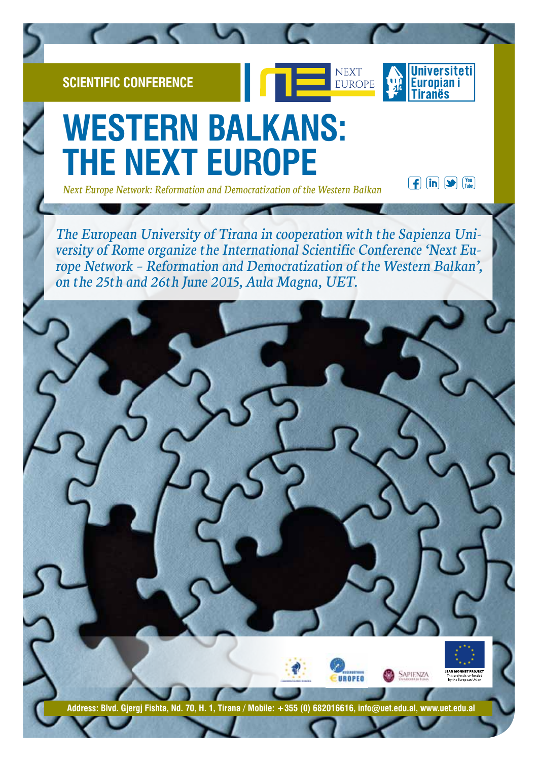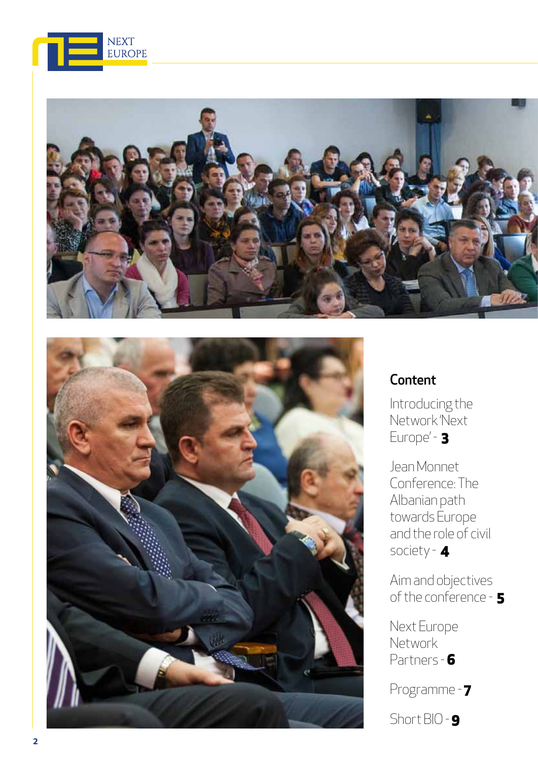





## **Content**

Introducing the Network 'Next Europe' - 3

Jean Monnet Conference: The Albanian path towards Europe and the role of civil society - 4

Aim and objectives of the conference - 5

Next Europe **Network** Partners - 6

Programme - 7

Short BIO - 9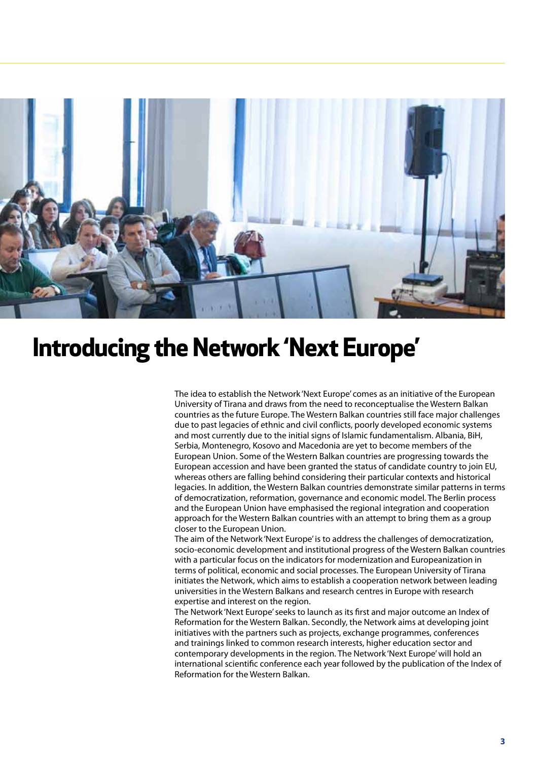

# **Introducing the Network 'Next Europe'**

The idea to establish the Network 'Next Europe' comes as an initiative of the European University of Tirana and draws from the need to reconceptualise the Western Balkan countries as the future Europe. The Western Balkan countries still face major challenges due to past legacies of ethnic and civil conflicts, poorly developed economic systems and most currently due to the initial signs of Islamic fundamentalism. Albania, BiH, Serbia, Montenegro, Kosovo and Macedonia are yet to become members of the European Union. Some of the Western Balkan countries are progressing towards the European accession and have been granted the status of candidate country to join EU, whereas others are falling behind considering their particular contexts and historical legacies. In addition, the Western Balkan countries demonstrate similar patterns in terms of democratization, reformation, governance and economic model. The Berlin process and the European Union have emphasised the regional integration and cooperation approach for the Western Balkan countries with an attempt to bring them as a group closer to the European Union.

The aim of the Network 'Next Europe' is to address the challenges of democratization, socio-economic development and institutional progress of the Western Balkan countries with a particular focus on the indicators for modernization and Europeanization in terms of political, economic and social processes. The European University of Tirana initiates the Network, which aims to establish a cooperation network between leading universities in the Western Balkans and research centres in Europe with research expertise and interest on the region.

The Network 'Next Europe' seeks to launch as its first and major outcome an Index of Reformation for the Western Balkan. Secondly, the Network aims at developing joint initiatives with the partners such as projects, exchange programmes, conferences and trainings linked to common research interests, higher education sector and contemporary developments in the region. The Network 'Next Europe' will hold an international scientific conference each year followed by the publication of the Index of Reformation for the Western Balkan.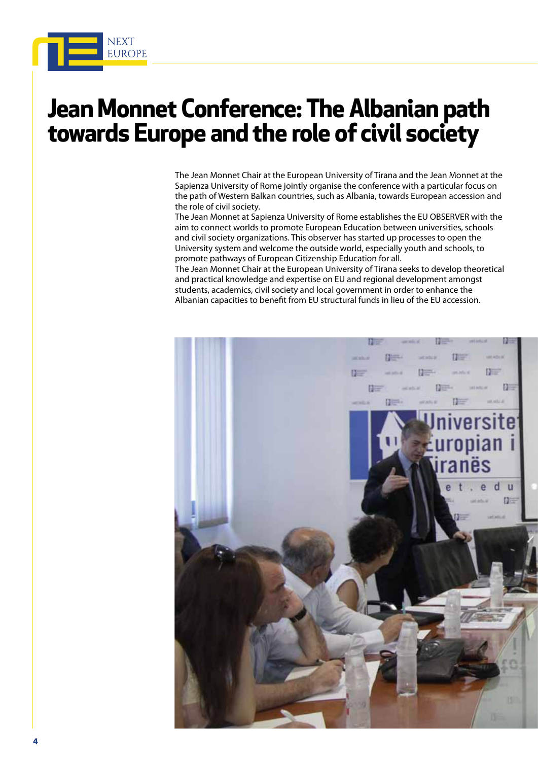

## **Jean Monnet Conference: The Albanian path towards Europe and the role of civil society**

The Jean Monnet Chair at the European University of Tirana and the Jean Monnet at the Sapienza University of Rome jointly organise the conference with a particular focus on the path of Western Balkan countries, such as Albania, towards European accession and the role of civil society.

The Jean Monnet at Sapienza University of Rome establishes the EU OBSERVER with the aim to connect worlds to promote European Education between universities, schools and civil society organizations. This observer has started up processes to open the University system and welcome the outside world, especially youth and schools, to promote pathways of European Citizenship Education for all.

The Jean Monnet Chair at the European University of Tirana seeks to develop theoretical and practical knowledge and expertise on EU and regional development amongst students, academics, civil society and local government in order to enhance the Albanian capacities to benefit from EU structural funds in lieu of the EU accession.

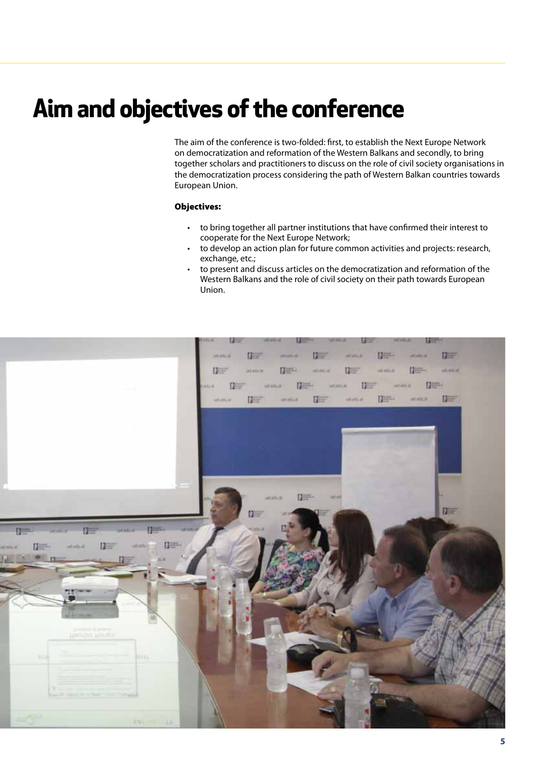# **Aim and objectives of the conference**

The aim of the conference is two-folded: first, to establish the Next Europe Network on democratization and reformation of the Western Balkans and secondly, to bring together scholars and practitioners to discuss on the role of civil society organisations in the democratization process considering the path of Western Balkan countries towards European Union.

#### Objectives:

- • to bring together all partner institutions that have confirmed their interest to cooperate for the Next Europe Network;
- to develop an action plan for future common activities and projects: research, exchange, etc.;
- to present and discuss articles on the democratization and reformation of the Western Balkans and the role of civil society on their path towards European Union.

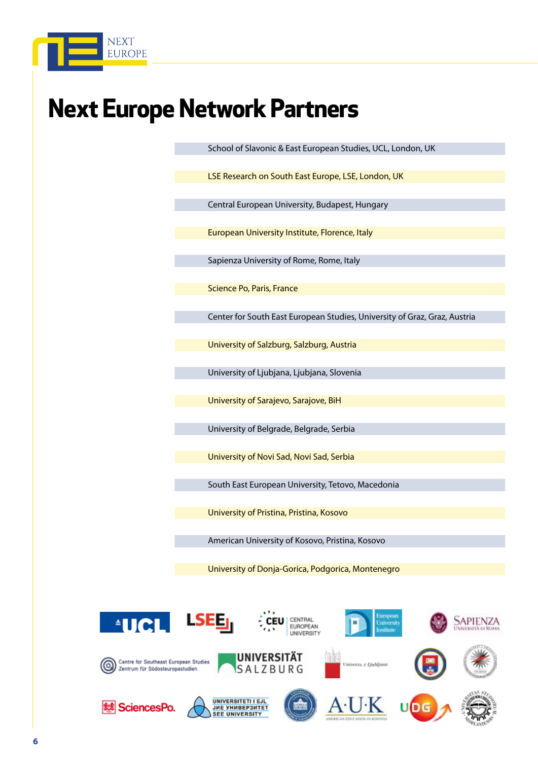

# **Next Europe Network Partners**

School of Slavonic & East European Studies, UCL, London, UK

LSE Research on South East Europe, LSE, London, UK

Central European University, Budapest, Hungary

European University Institute, Florence, Italy

Sapienza University of Rome, Rome, Italy

Science Po, Paris, France

Center for South East European Studies, University of Graz, Graz, Austria

University of Salzburg, Salzburg, Austria

University of Ljubjana, Ljubjana, Slovenia

University of Sarajevo, Sarajove, BiH

University of Belgrade, Belgrade, Serbia

University of Novi Sad, Novi Sad, Serbia

South East European University, Tetovo, Macedonia

University of Pristina, Pristina, Kosovo

American University of Kosovo, Pristina, Kosovo

University of Donja-Gorica, Podgorica, Montenegro

 $\triangleq$ 

Centre for Southeast European Studies

Zentrum für Südosteuropastudien



UNIVERSITÄT

SALZBURG



erza. v Liubljam





















**6**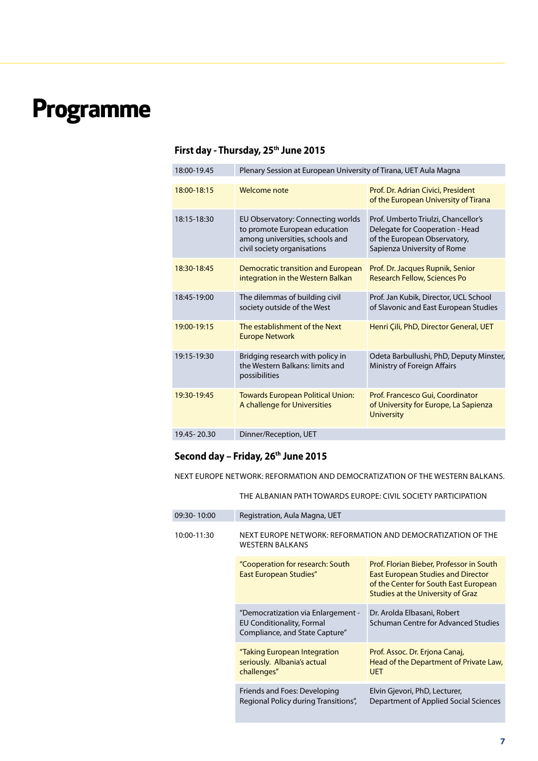# **Programme**

## First day - Thursday, 25<sup>th</sup> June 2015

| 18:00-19.45   | Plenary Session at European University of Tirana, UET Aula Magna                                                                     |                                                                                                                                       |
|---------------|--------------------------------------------------------------------------------------------------------------------------------------|---------------------------------------------------------------------------------------------------------------------------------------|
| 18:00-18:15   | Welcome note                                                                                                                         | Prof. Dr. Adrian Civici, President<br>of the European University of Tirana                                                            |
| 18:15-18:30   | EU Observatory: Connecting worlds<br>to promote European education<br>among universities, schools and<br>civil society organisations | Prof. Umberto Triulzi, Chancellor's<br>Delegate for Cooperation - Head<br>of the European Observatory,<br>Sapienza University of Rome |
| 18:30-18:45   | Democratic transition and European<br>integration in the Western Balkan                                                              | Prof. Dr. Jacques Rupnik, Senior<br><b>Research Fellow, Sciences Po</b>                                                               |
| 18:45-19:00   | The dilemmas of building civil<br>society outside of the West                                                                        | Prof. Jan Kubik, Director, UCL School<br>of Slavonic and East European Studies                                                        |
| 19:00-19:15   | The establishment of the Next<br><b>Europe Network</b>                                                                               | Henri Çili, PhD, Director General, UET                                                                                                |
| 19:15-19:30   | Bridging research with policy in<br>the Western Balkans: limits and<br>possibilities                                                 | Odeta Barbullushi, PhD, Deputy Minster,<br>Ministry of Foreign Affairs                                                                |
| 19:30-19:45   | <b>Towards European Political Union:</b><br>A challenge for Universities                                                             | Prof. Francesco Gui, Coordinator<br>of University for Europe, La Sapienza<br><b>University</b>                                        |
| 19.45 - 20.30 | Dinner/Reception, UET                                                                                                                |                                                                                                                                       |
|               |                                                                                                                                      |                                                                                                                                       |

## Second day - Friday, 26<sup>th</sup> June 2015

Next Europe Network: Reformation and Democratization of the Western Balkans.

The Albanian path towards Europe: Civil Society Participation

| 09:30-10:00 | Registration, Aula Magna, UET                                                                            |                                                                                                                                                                            |  |
|-------------|----------------------------------------------------------------------------------------------------------|----------------------------------------------------------------------------------------------------------------------------------------------------------------------------|--|
| 10:00-11:30 | NEXT EUROPE NETWORK: REFORMATION AND DEMOCRATIZATION OF THE<br><b>WESTERN BALKANS</b>                    |                                                                                                                                                                            |  |
|             | "Cooperation for research: South<br><b>East European Studies"</b>                                        | Prof. Florian Bieber, Professor in South<br><b>East European Studies and Director</b><br>of the Center for South East European<br><b>Studies at the University of Graz</b> |  |
|             | "Democratization via Enlargement -<br><b>EU Conditionality, Formal</b><br>Compliance, and State Capture" | Dr. Arolda Elbasani, Robert<br><b>Schuman Centre for Advanced Studies</b>                                                                                                  |  |
|             | "Taking European Integration<br>seriously. Albania's actual<br>challenges"                               | Prof. Assoc. Dr. Erjona Canaj,<br>Head of the Department of Private Law,<br><b>UET</b>                                                                                     |  |
|             | Friends and Foes: Developing<br>Regional Policy during Transitions",                                     | Elvin Gjevori, PhD, Lecturer,<br>Department of Applied Social Sciences                                                                                                     |  |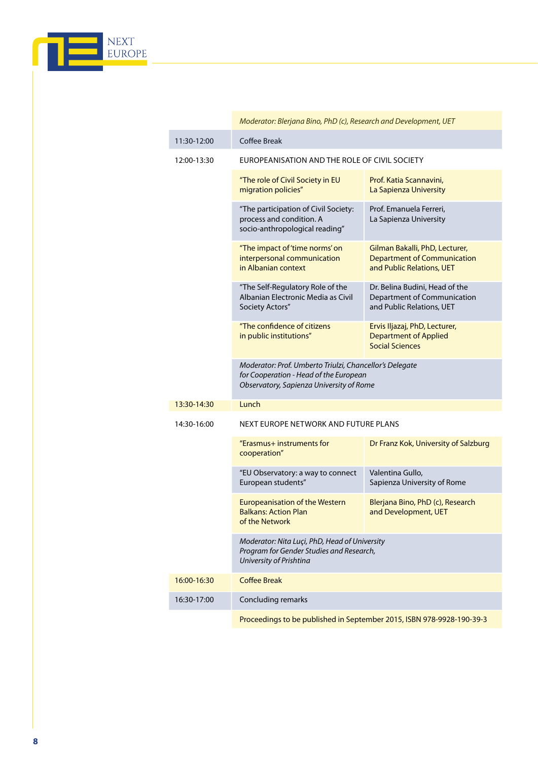

| 11:30-12:00                                                           | Coffee Break                                                                                                                                  |                                                                                                   |  |
|-----------------------------------------------------------------------|-----------------------------------------------------------------------------------------------------------------------------------------------|---------------------------------------------------------------------------------------------------|--|
| 12:00-13:30                                                           | EUROPEANISATION AND THE ROLE OF CIVIL SOCIETY                                                                                                 |                                                                                                   |  |
|                                                                       | "The role of Civil Society in EU<br>migration policies"                                                                                       | Prof. Katia Scannavini,<br>La Sapienza University                                                 |  |
|                                                                       | "The participation of Civil Society:<br>process and condition. A<br>socio-anthropological reading"                                            | Prof. Emanuela Ferreri,<br>La Sapienza University                                                 |  |
|                                                                       | "The impact of 'time norms' on<br>interpersonal communication<br>in Albanian context                                                          | Gilman Bakalli, PhD, Lecturer,<br><b>Department of Communication</b><br>and Public Relations, UET |  |
|                                                                       | "The Self-Regulatory Role of the<br>Albanian Electronic Media as Civil<br>Society Actors"                                                     | Dr. Belina Budini, Head of the<br>Department of Communication<br>and Public Relations, UET        |  |
|                                                                       | "The confidence of citizens<br>in public institutions"                                                                                        | Ervis Iljazaj, PhD, Lecturer,<br><b>Department of Applied</b><br><b>Social Sciences</b>           |  |
|                                                                       | Moderator: Prof. Umberto Triulzi, Chancellor's Delegate<br>for Cooperation - Head of the European<br>Observatory, Sapienza University of Rome |                                                                                                   |  |
| Lunch<br>13:30-14:30                                                  |                                                                                                                                               |                                                                                                   |  |
| 14:30-16:00                                                           | NEXT EUROPE NETWORK AND FUTURE PLANS                                                                                                          |                                                                                                   |  |
|                                                                       | "Erasmus+ instruments for<br>cooperation"                                                                                                     | Dr Franz Kok, University of Salzburg                                                              |  |
|                                                                       | "EU Observatory: a way to connect<br>European students"                                                                                       | Valentina Gullo,<br>Sapienza University of Rome                                                   |  |
|                                                                       | <b>Europeanisation of the Western</b><br><b>Balkans: Action Plan</b><br>of the Network                                                        | Blerjana Bino, PhD (c), Research<br>and Development, UET                                          |  |
|                                                                       | Moderator: Nita Luçi, PhD, Head of University<br>Program for Gender Studies and Research,<br>University of Prishtina                          |                                                                                                   |  |
| 16:00-16:30                                                           | <b>Coffee Break</b>                                                                                                                           |                                                                                                   |  |
| 16:30-17:00                                                           | Concluding remarks                                                                                                                            |                                                                                                   |  |
| Proceedings to be published in September 2015, ISBN 978-9928-190-39-3 |                                                                                                                                               |                                                                                                   |  |

 *Moderator: Blerjana Bino, PhD (c), Research and Development, UET*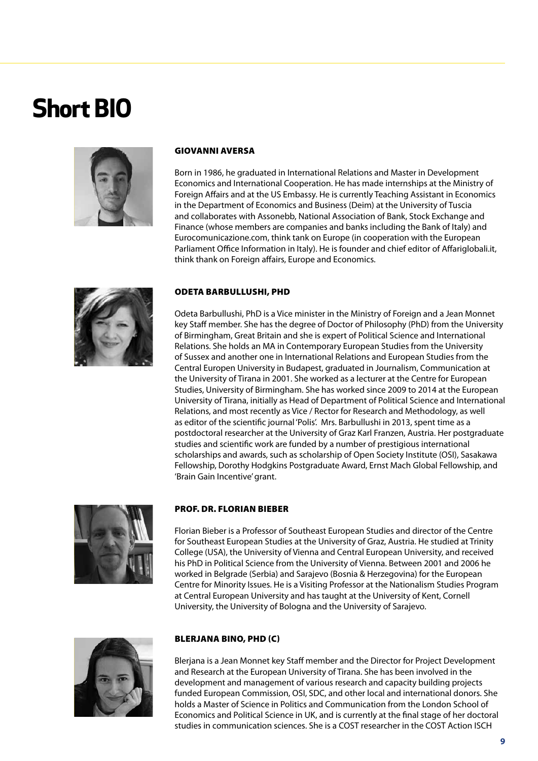# **Short BIO**



#### Giovanni Aversa

Born in 1986, he graduated in International Relations and Master in Development Economics and International Cooperation. He has made internships at the Ministry of Foreign Affairs and at the US Embassy. He is currently Teaching Assistant in Economics in the Department of Economics and Business (Deim) at the University of Tuscia and collaborates with Assonebb, National Association of Bank, Stock Exchange and Finance (whose members are companies and banks including the Bank of Italy) and Eurocomunicazione.com, think tank on Europe (in cooperation with the European Parliament Office Information in Italy). He is founder and chief editor of Affariglobali.it, think thank on Foreign affairs, Europe and Economics.



#### Odeta Barbullushi, PhD

Odeta Barbullushi, PhD is a Vice minister in the Ministry of Foreign and a Jean Monnet key Staff member. She has the degree of Doctor of Philosophy (PhD) from the University of Birmingham, Great Britain and she is expert of Political Science and International Relations. She holds an MA in Contemporary European Studies from the University of Sussex and another one in International Relations and European Studies from the Central Europen University in Budapest, graduated in Journalism, Communication at the University of Tirana in 2001. She worked as a lecturer at the Centre for European Studies, University of Birmingham. She has worked since 2009 to 2014 at the European University of Tirana, initially as Head of Department of Political Science and International Relations, and most recently as Vice / Rector for Research and Methodology, as well as editor of the scientific journal 'Polis'. Mrs. Barbullushi in 2013, spent time as a postdoctoral researcher at the University of Graz Karl Franzen, Austria. Her postgraduate studies and scientific work are funded by a number of prestigious international scholarships and awards, such as scholarship of Open Society Institute (OSI), Sasakawa Fellowship, Dorothy Hodgkins Postgraduate Award, Ernst Mach Global Fellowship, and 'Brain Gain Incentive' grant.



#### Prof. Dr. Florian Bieber

Florian Bieber is a Professor of Southeast European Studies and director of the Centre for Southeast European Studies at the University of Graz, Austria. He studied at Trinity College (USA), the University of Vienna and Central European University, and received his PhD in Political Science from the University of Vienna. Between 2001 and 2006 he worked in Belgrade (Serbia) and Sarajevo (Bosnia & Herzegovina) for the European Centre for Minority Issues. He is a Visiting Professor at the Nationalism Studies Program at Central European University and has taught at the University of Kent, Cornell University, the University of Bologna and the University of Sarajevo.



#### Blerjana Bino, PhD (c)

Blerjana is a Jean Monnet key Staff member and the Director for Project Development and Research at the European University of Tirana. She has been involved in the development and management of various research and capacity building projects funded European Commission, OSI, SDC, and other local and international donors. She holds a Master of Science in Politics and Communication from the London School of Economics and Political Science in UK, and is currently at the final stage of her doctoral studies in communication sciences. She is a COST researcher in the COST Action ISCH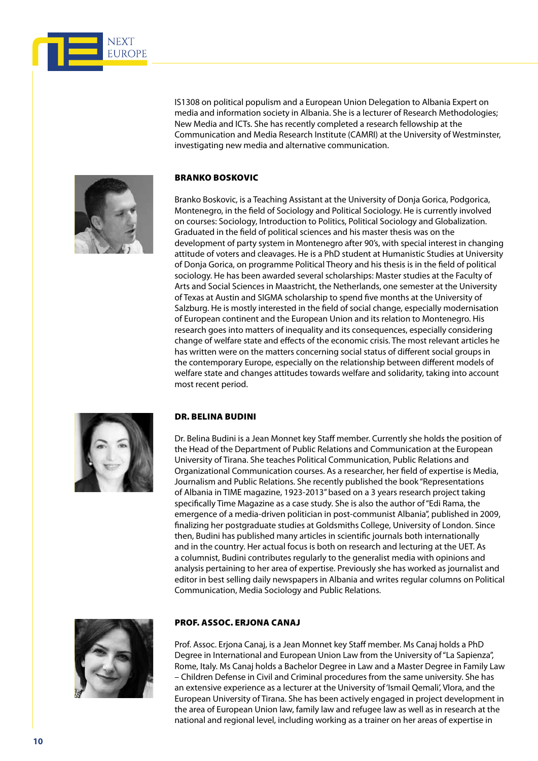

IS1308 on political populism and a European Union Delegation to Albania Expert on media and information society in Albania. She is a lecturer of Research Methodologies; New Media and ICTs. She has recently completed a research fellowship at the Communication and Media Research Institute (CAMRI) at the University of Westminster, investigating new media and alternative communication.



#### Branko Boskovic

Branko Boskovic, is a Teaching Assistant at the University of Donja Gorica, Podgorica, Montenegro, in the field of Sociology and Political Sociology. He is currently involved on courses: Sociology, Introduction to Politics, Political Sociology and Globalization. Graduated in the field of political sciences and his master thesis was on the development of party system in Montenegro after 90's, with special interest in changing attitude of voters and cleavages. He is a PhD student at Humanistic Studies at University of Donja Gorica, on programme Political Theory and his thesis is in the field of political sociology. He has been awarded several scholarships: Master studies at the Faculty of Arts and Social Sciences in Maastricht, the Netherlands, one semester at the University of Texas at Austin and SIGMA scholarship to spend five months at the University of Salzburg. He is mostly interested in the field of social change, especially modernisation of European continent and the European Union and its relation to Montenegro. His research goes into matters of inequality and its consequences, especially considering change of welfare state and effects of the economic crisis. The most relevant articles he has written were on the matters concerning social status of different social groups in the contemporary Europe, especially on the relationship between different models of welfare state and changes attitudes towards welfare and solidarity, taking into account most recent period.



#### Dr. Belina Budini

Dr. Belina Budini is a Jean Monnet key Staff member. Currently she holds the position of the Head of the Department of Public Relations and Communication at the European University of Tirana. She teaches Political Communication, Public Relations and Organizational Communication courses. As a researcher, her field of expertise is Media, Journalism and Public Relations. She recently published the book "Representations of Albania in TIME magazine, 1923-2013" based on a 3 years research project taking specifically Time Magazine as a case study. She is also the author of "Edi Rama, the emergence of a media-driven politician in post-communist Albania", published in 2009, finalizing her postgraduate studies at Goldsmiths College, University of London. Since then, Budini has published many articles in scientific journals both internationally and in the country. Her actual focus is both on research and lecturing at the UET. As a columnist, Budini contributes regularly to the generalist media with opinions and analysis pertaining to her area of expertise. Previously she has worked as journalist and editor in best selling daily newspapers in Albania and writes regular columns on Political Communication, Media Sociology and Public Relations.



#### Prof. Assoc. Erjona Canaj

Prof. Assoc. Erjona Canaj, is a Jean Monnet key Staff member. Ms Canaj holds a PhD Degree in International and European Union Law from the University of "La Sapienza", Rome, Italy. Ms Canaj holds a Bachelor Degree in Law and a Master Degree in Family Law – Children Defense in Civil and Criminal procedures from the same university. She has an extensive experience as a lecturer at the University of 'Ismail Qemali', Vlora, and the European University of Tirana. She has been actively engaged in project development in the area of European Union law, family law and refugee law as well as in research at the national and regional level, including working as a trainer on her areas of expertise in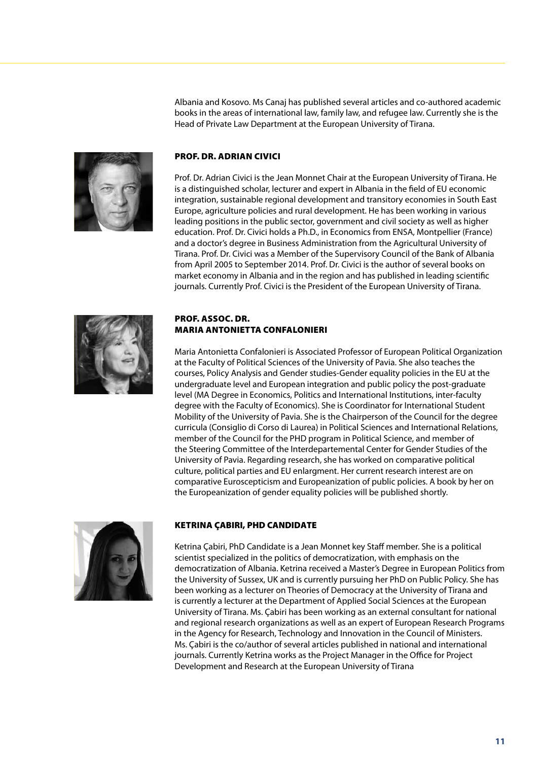Albania and Kosovo. Ms Canaj has published several articles and co-authored academic books in the areas of international law, family law, and refugee law. Currently she is the Head of Private Law Department at the European University of Tirana.



#### Prof. Dr. Adrian Civici

Prof. Dr. Adrian Civici is the Jean Monnet Chair at the European University of Tirana. He is a distinguished scholar, lecturer and expert in Albania in the field of EU economic integration, sustainable regional development and transitory economies in South East Europe, agriculture policies and rural development. He has been working in various leading positions in the public sector, government and civil society as well as higher education. Prof. Dr. Civici holds a Ph.D., in Economics from ENSA, Montpellier (France) and a doctor's degree in Business Administration from the Agricultural University of Tirana. Prof. Dr. Civici was a Member of the Supervisory Council of the Bank of Albania from April 2005 to September 2014. Prof. Dr. Civici is the author of several books on market economy in Albania and in the region and has published in leading scientific journals. Currently Prof. Civici is the President of the European University of Tirana.



#### Prof. Assoc. Dr. Maria Antonietta Confalonieri

Maria Antonietta Confalonieri is Associated Professor of European Political Organization at the Faculty of Political Sciences of the University of Pavia. She also teaches the courses, Policy Analysis and Gender studies-Gender equality policies in the EU at the undergraduate level and European integration and public policy the post-graduate level (MA Degree in Economics, Politics and International Institutions, inter-faculty degree with the Faculty of Economics). She is Coordinator for International Student Mobility of the University of Pavia. She is the Chairperson of the Council for the degree curricula (Consiglio di Corso di Laurea) in Political Sciences and International Relations, member of the Council for the PHD program in Political Science, and member of the Steering Committee of the Interdepartemental Center for Gender Studies of the University of Pavia. Regarding research, she has worked on comparative political culture, political parties and EU enlargment. Her current research interest are on comparative Euroscepticism and Europeanization of public policies. A book by her on the Europeanization of gender equality policies will be published shortly.



#### Ketrina Çabiri, PhD Candidate

Ketrina Çabiri, PhD Candidate is a Jean Monnet key Staff member. She is a political scientist specialized in the politics of democratization, with emphasis on the democratization of Albania. Ketrina received a Master's Degree in European Politics from the University of Sussex, UK and is currently pursuing her PhD on Public Policy. She has been working as a lecturer on Theories of Democracy at the University of Tirana and is currently a lecturer at the Department of Applied Social Sciences at the European University of Tirana. Ms. Çabiri has been working as an external consultant for national and regional research organizations as well as an expert of European Research Programs in the Agency for Research, Technology and Innovation in the Council of Ministers. Ms. Çabiri is the co/author of several articles published in national and international journals. Currently Ketrina works as the Project Manager in the Office for Project Development and Research at the European University of Tirana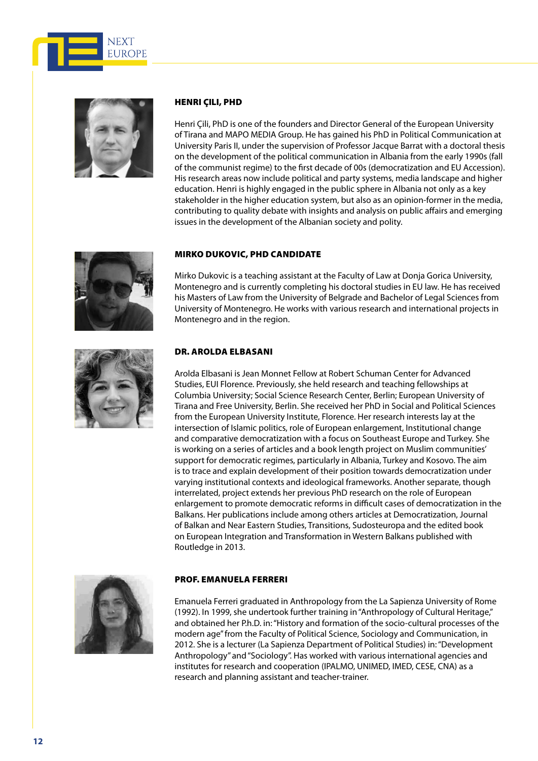



#### Henri Çili, PhD

Henri Çili, PhD is one of the founders and Director General of the European University of Tirana and MAPO MEDIA Group. He has gained his PhD in Political Communication at University Paris II, under the supervision of Professor Jacque Barrat with a doctoral thesis on the development of the political communication in Albania from the early 1990s (fall of the communist regime) to the first decade of 00s (democratization and EU Accession). His research areas now include political and party systems, media landscape and higher education. Henri is highly engaged in the public sphere in Albania not only as a key stakeholder in the higher education system, but also as an opinion-former in the media, contributing to quality debate with insights and analysis on public affairs and emerging issues in the development of the Albanian society and polity.



#### Mirko Dukovic, PhD Candidate

Mirko Dukovic is a teaching assistant at the Faculty of Law at Donja Gorica University, Montenegro and is currently completing his doctoral studies in EU law. He has received his Masters of Law from the University of Belgrade and Bachelor of Legal Sciences from University of Montenegro. He works with various research and international projects in Montenegro and in the region.



#### Dr. Arolda Elbasani

Arolda Elbasani is Jean Monnet Fellow at Robert Schuman Center for Advanced Studies, EUI Florence. Previously, she held research and teaching fellowships at Columbia University; Social Science Research Center, Berlin; European University of Tirana and Free University, Berlin. She received her PhD in Social and Political Sciences from the European University Institute, Florence. Her research interests lay at the intersection of Islamic politics, role of European enlargement, Institutional change and comparative democratization with a focus on Southeast Europe and Turkey. She is working on a series of articles and a book length project on Muslim communities' support for democratic regimes, particularly in Albania, Turkey and Kosovo. The aim is to trace and explain development of their position towards democratization under varying institutional contexts and ideological frameworks. Another separate, though interrelated, project extends her previous PhD research on the role of European enlargement to promote democratic reforms in difficult cases of democratization in the Balkans. Her publications include among others articles at Democratization, Journal of Balkan and Near Eastern Studies, Transitions, Sudosteuropa and the edited book on European Integration and Transformation in Western Balkans published with Routledge in 2013.



#### Prof. Emanuela Ferreri

Emanuela Ferreri graduated in Anthropology from the La Sapienza University of Rome (1992). In 1999, she undertook further training in "Anthropology of Cultural Heritage," and obtained her P.h.D. in: "History and formation of the socio-cultural processes of the modern age" from the Faculty of Political Science, Sociology and Communication, in 2012. She is a lecturer (La Sapienza Department of Political Studies) in: "Development Anthropology" and "Sociology". Has worked with various international agencies and institutes for research and cooperation (IPALMO, UNIMED, IMED, CESE, CNA) as a research and planning assistant and teacher-trainer.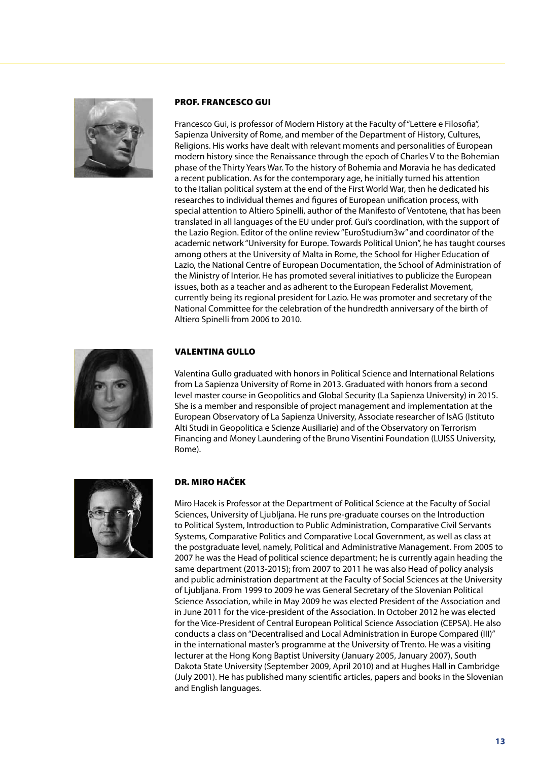

#### Prof. Francesco Gui

Francesco Gui, is professor of Modern History at the Faculty of "Lettere e Filosofia", Sapienza University of Rome, and member of the Department of History, Cultures, Religions. His works have dealt with relevant moments and personalities of European modern history since the Renaissance through the epoch of Charles V to the Bohemian phase of the Thirty Years War. To the history of Bohemia and Moravia he has dedicated a recent publication. As for the contemporary age, he initially turned his attention to the Italian political system at the end of the First World War, then he dedicated his researches to individual themes and figures of European unification process, with special attention to Altiero Spinelli, author of the Manifesto of Ventotene, that has been translated in all languages of the EU under prof. Gui's coordination, with the support of the Lazio Region. Editor of the online review "EuroStudium3w" and coordinator of the academic network "University for Europe. Towards Political Union", he has taught courses among others at the University of Malta in Rome, the School for Higher Education of Lazio, the National Centre of European Documentation, the School of Administration of the Ministry of Interior. He has promoted several initiatives to publicize the European issues, both as a teacher and as adherent to the European Federalist Movement, currently being its regional president for Lazio. He was promoter and secretary of the National Committee for the celebration of the hundredth anniversary of the birth of Altiero Spinelli from 2006 to 2010.



#### Valentina Gullo

Valentina Gullo graduated with honors in Political Science and International Relations from La Sapienza University of Rome in 2013. Graduated with honors from a second level master course in Geopolitics and Global Security (La Sapienza University) in 2015. She is a member and responsible of project management and implementation at the European Observatory of La Sapienza University, Associate researcher of IsAG (Istituto Alti Studi in Geopolitica e Scienze Ausiliarie) and of the Observatory on Terrorism Financing and Money Laundering of the Bruno Visentini Foundation (LUISS University, Rome).



#### Dr. Miro Haček

Miro Hacek is Professor at the Department of Political Science at the Faculty of Social Sciences, University of Ljubljana. He runs pre-graduate courses on the Introduction to Political System, Introduction to Public Administration, Comparative Civil Servants Systems, Comparative Politics and Comparative Local Government, as well as class at the postgraduate level, namely, Political and Administrative Management. From 2005 to 2007 he was the Head of political science department; he is currently again heading the same department (2013-2015); from 2007 to 2011 he was also Head of policy analysis and public administration department at the Faculty of Social Sciences at the University of Ljubljana. From 1999 to 2009 he was General Secretary of the Slovenian Political Science Association, while in May 2009 he was elected President of the Association and in June 2011 for the vice-president of the Association. In October 2012 he was elected for the Vice-President of Central European Political Science Association (CEPSA). He also conducts a class on "Decentralised and Local Administration in Europe Compared (III)" in the international master's programme at the University of Trento. He was a visiting lecturer at the Hong Kong Baptist University (January 2005, January 2007), South Dakota State University (September 2009, April 2010) and at Hughes Hall in Cambridge (July 2001). He has published many scientific articles, papers and books in the Slovenian and English languages.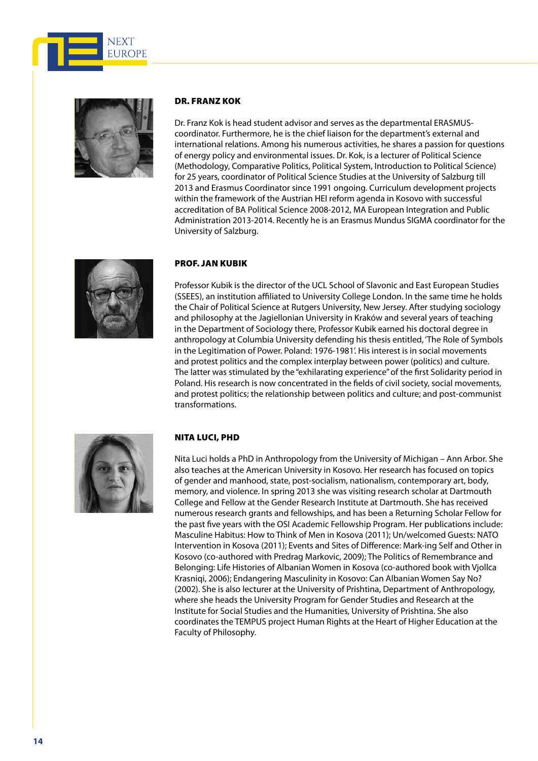



#### Dr. Franz Kok

Dr. Franz Kok is head student advisor and serves as the departmental ERASMUScoordinator. Furthermore, he is the chief liaison for the department's external and international relations. Among his numerous activities, he shares a passion for questions of energy policy and environmental issues. Dr. Kok, is a lecturer of Political Science (Methodology, Comparative Politics, Political System, Introduction to Political Science) for 25 years, coordinator of Political Science Studies at the University of Salzburg till 2013 and Erasmus Coordinator since 1991 ongoing. Curriculum development projects within the framework of the Austrian HEI reform agenda in Kosovo with successful accreditation of BA Political Science 2008-2012, MA European Integration and Public Administration 2013-2014. Recently he is an Erasmus Mundus SIGMA coordinator for the University of Salzburg.



#### Prof. Jan Kubik

Professor Kubik is the director of the UCL School of Slavonic and East European Studies (SSEES), an institution affiliated to University College London. In the same time he holds the Chair of Political Science at Rutgers University, New Jersey. After studying sociology and philosophy at the Jagiellonian University in Kraków and several years of teaching in the Department of Sociology there, Professor Kubik earned his doctoral degree in anthropology at Columbia University defending his thesis entitled, 'The Role of Symbols in the Legitimation of Power. Poland: 1976-1981'. His interest is in social movements and protest politics and the complex interplay between power (politics) and culture. The latter was stimulated by the "exhilarating experience" of the first Solidarity period in Poland. His research is now concentrated in the fields of civil society, social movements, and protest politics; the relationship between politics and culture; and post-communist transformations.



#### Nita Luci, PhD

Nita Luci holds a PhD in Anthropology from the University of Michigan – Ann Arbor. She also teaches at the American University in Kosovo. Her research has focused on topics of gender and manhood, state, post-socialism, nationalism, contemporary art, body, memory, and violence. In spring 2013 she was visiting research scholar at Dartmouth College and Fellow at the Gender Research Institute at Dartmouth. She has received numerous research grants and fellowships, and has been a Returning Scholar Fellow for the past five years with the OSI Academic Fellowship Program. Her publications include: Masculine Habitus: How to Think of Men in Kosova (2011); Un/welcomed Guests: NATO Intervention in Kosova (2011); Events and Sites of Difference: Mark-ing Self and Other in Kosovo (co-authored with Predrag Markovic, 2009); The Politics of Remembrance and Belonging: Life Histories of Albanian Women in Kosova (co-authored book with Vjollca Krasniqi, 2006); Endangering Masculinity in Kosovo: Can Albanian Women Say No? (2002). She is also lecturer at the University of Prishtina, Department of Anthropology, where she heads the University Program for Gender Studies and Research at the Institute for Social Studies and the Humanities, University of Prishtina. She also coordinates the TEMPUS project Human Rights at the Heart of Higher Education at the Faculty of Philosophy.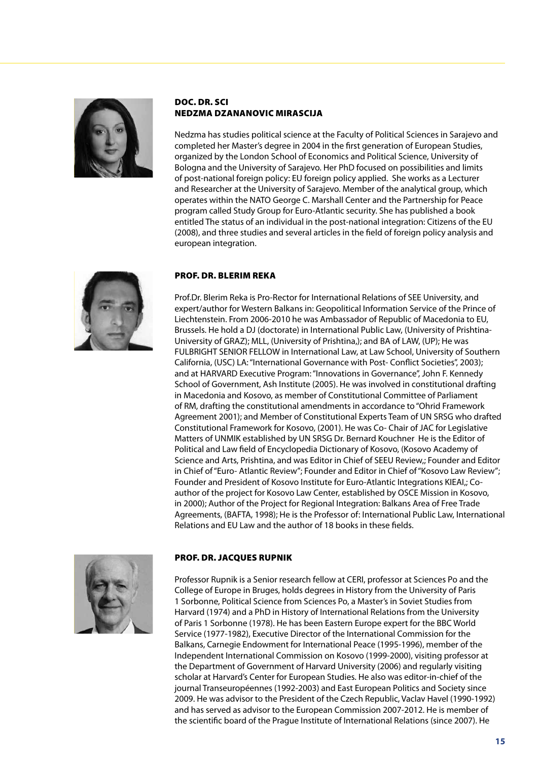

#### Doc. Dr. Sci Nedzma Dzananovic Mirascija

Nedzma has studies political science at the Faculty of Political Sciences in Sarajevo and completed her Master's degree in 2004 in the first generation of European Studies, organized by the London School of Economics and Political Science, University of Bologna and the University of Sarajevo. Her PhD focused on possibilities and limits of post-national foreign policy: EU foreign policy applied. She works as a Lecturer and Researcher at the University of Sarajevo. Member of the analytical group, which operates within the NATO George C. Marshall Center and the Partnership for Peace program called Study Group for Euro-Atlantic security. She has published a book entitled The status of an individual in the post-national integration: Citizens of the EU (2008), and three studies and several articles in the field of foreign policy analysis and european integration.



#### Prof. Dr. Blerim Reka

Prof.Dr. Blerim Reka is Pro-Rector for International Relations of SEE University, and expert/author for Western Balkans in: Geopolitical Information Service of the Prince of Liechtenstein. From 2006-2010 he was Ambassador of Republic of Macedonia to EU, Brussels. He hold a DJ (doctorate) in International Public Law, (University of Prishtina-University of GRAZ); MLL, (University of Prishtina,); and BA of LAW, (UP); He was FULBRIGHT SENIOR FELLOW in International Law, at Law School, University of Southern California, (USC) LA: "International Governance with Post- Conflict Societies", 2003); and at HARVARD Executive Program: "Innovations in Governance", John F. Kennedy School of Government, Ash Institute (2005). He was involved in constitutional drafting in Macedonia and Kosovo, as member of Constitutional Committee of Parliament of RM, drafting the constitutional amendments in accordance to "Ohrid Framework Agreement 2001); and Member of Constitutional Experts Team of UN SRSG who drafted Constitutional Framework for Kosovo, (2001). He was Co- Chair of JAC for Legislative Matters of UNMIK established by UN SRSG Dr. Bernard Kouchner He is the Editor of Political and Law field of Encyclopedia Dictionary of Kosovo, (Kosovo Academy of Science and Arts, Prishtina, and was Editor in Chief of SEEU Review,; Founder and Editor in Chief of "Euro- Atlantic Review"; Founder and Editor in Chief of "Kosovo Law Review"; Founder and President of Kosovo Institute for Euro-Atlantic Integrations KIEAI,; Coauthor of the project for Kosovo Law Center, established by OSCE Mission in Kosovo, in 2000); Author of the Project for Regional Integration: Balkans Area of Free Trade Agreements, (BAFTA, 1998); He is the Professor of: International Public Law, International Relations and EU Law and the author of 18 books in these fields.



#### Prof. Dr. Jacques Rupnik

Professor Rupnik is a Senior research fellow at CERI, professor at Sciences Po and the College of Europe in Bruges, holds degrees in History from the University of Paris 1 Sorbonne, Political Science from Sciences Po, a Master's in Soviet Studies from Harvard (1974) and a PhD in History of International Relations from the University of Paris 1 Sorbonne (1978). He has been Eastern Europe expert for the BBC World Service (1977-1982), Executive Director of the International Commission for the Balkans, Carnegie Endowment for International Peace (1995-1996), member of the Independent International Commission on Kosovo (1999-2000), visiting professor at the Department of Government of Harvard University (2006) and regularly visiting scholar at Harvard's Center for European Studies. He also was editor-in-chief of the journal Transeuropéennes (1992-2003) and East European Politics and Society since 2009. He was advisor to the President of the Czech Republic, Vaclav Havel (1990-1992) and has served as advisor to the European Commission 2007-2012. He is member of the scientific board of the Prague Institute of International Relations (since 2007). He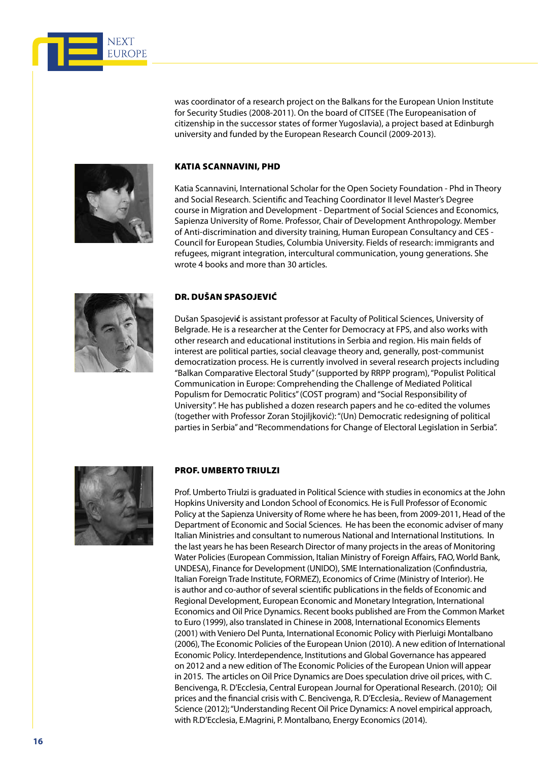

was coordinator of a research project on the Balkans for the European Union Institute for Security Studies (2008-2011). On the board of CITSEE (The Europeanisation of citizenship in the successor states of former Yugoslavia), a project based at Edinburgh university and funded by the European Research Council (2009-2013).



#### Katia Scannavini, PhD

Katia Scannavini, International Scholar for the Open Society Foundation - Phd in Theory and Social Research. Scientific and Teaching Coordinator II level Master's Degree course in Migration and Development - Department of Social Sciences and Economics, Sapienza University of Rome. Professor, Chair of Development Anthropology. Member of Anti-discrimination and diversity training, Human European Consultancy and CES - Council for European Studies, Columbia University. Fields of research: immigrants and refugees, migrant integration, intercultural communication, young generations. She wrote 4 books and more than 30 articles.



#### Dr. Dušan Spasojević

Dušan Spasojevi**ć** is assistant professor at Faculty of Political Sciences, University of Belgrade. He is a researcher at the Center for Democracy at FPS, and also works with other research and educational institutions in Serbia and region. His main fields of interest are political parties, social cleavage theory and, generally, post-communist democratization process. He is currently involved in several research projects including "Balkan Comparative Electoral Study" (supported by RRPP program), "Populist Political Communication in Europe: Comprehending the Challenge of Mediated Political Populism for Democratic Politics" (COST program) and "Social Responsibility of University". He has published a dozen research papers and he co-edited the volumes (together with Professor Zoran Stojiljković): "(Un) Democratic redesigning of political parties in Serbia" and "Recommendations for Change of Electoral Legislation in Serbia".



#### Prof. Umberto Triulzi

Prof. Umberto Triulzi is graduated in Political Science with studies in economics at the John Hopkins University and London School of Economics. He is Full Professor of Economic Policy at the Sapienza University of Rome where he has been, from 2009-2011, Head of the Department of Economic and Social Sciences. He has been the economic adviser of many Italian Ministries and consultant to numerous National and International Institutions. In the last years he has been Research Director of many projects in the areas of Monitoring Water Policies (European Commission, Italian Ministry of Foreign Affairs, FAO, World Bank, UNDESA), Finance for Development (UNIDO), SME Internationalization (Confindustria, Italian Foreign Trade Institute, FORMEZ), Economics of Crime (Ministry of Interior). He is author and co-author of several scientific publications in the fields of Economic and Regional Development, European Economic and Monetary Integration, International Economics and Oil Price Dynamics. Recent books published are From the Common Market to Euro (1999), also translated in Chinese in 2008, International Economics Elements (2001) with Veniero Del Punta, International Economic Policy with Pierluigi Montalbano (2006), The Economic Policies of the European Union (2010). A new edition of International Economic Policy. Interdependence, Institutions and Global Governance has appeared on 2012 and a new edition of The Economic Policies of the European Union will appear in 2015. The articles on Oil Price Dynamics are Does speculation drive oil prices, with C. Bencivenga, R. D'Ecclesia, Central European Journal for Operational Research. (2010); Oil prices and the financial crisis with C. Bencivenga, R. D'Ecclesia,. Review of Management Science (2012); "Understanding Recent Oil Price Dynamics: A novel empirical approach, with R.D'Ecclesia, E.Magrini, P. Montalbano, Energy Economics (2014).